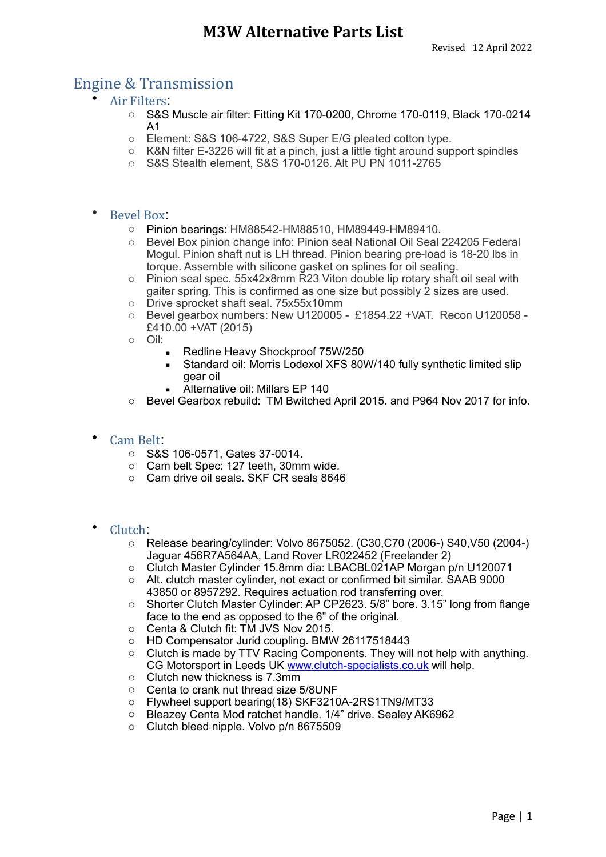## Engine & Transmission

- Air Filters:
	- o S&S Muscle air filter: Fitting Kit 170-0200, Chrome 170-0119, Black 170-0214 A1
	- o Element: S&S 106-4722, S&S Super E/G pleated cotton type.
	- $\circ$  K&N filter E-3226 will fit at a pinch, just a little tight around support spindles
	- o S&S Stealth element, S&S 170-0126. Alt PU PN 1011-2765
- Bevel Box:
	- o Pinion bearings: HM88542-HM88510, HM89449-HM89410.
	- o Bevel Box pinion change info: Pinion seal National Oil Seal 224205 Federal Mogul. Pinion shaft nut is LH thread. Pinion bearing pre-load is 18-20 lbs in torque. Assemble with silicone gasket on splines for oil sealing.
	- o Pinion seal spec. 55x42x8mm R23 Viton double lip rotary shaft oil seal with gaiter spring. This is confirmed as one size but possibly 2 sizes are used.
	- o Drive sprocket shaft seal. 75x55x10mm
	- o Bevel gearbox numbers: New U120005 £1854.22 +VAT. Recon U120058 £410.00 +VAT (2015)
	- o Oil:
		- Redline Heavy Shockproof 75W/250
		- Standard oil: Morris Lodexol XFS 80W/140 fully synthetic limited slip gear oil
		- Alternative oil: Millars EP 140
	- o Bevel Gearbox rebuild: TM Bwitched April 2015. and P964 Nov 2017 for info.

### Cam Belt:

- o S&S 106-0571, Gates 37-0014.
- o Cam belt Spec: 127 teeth, 30mm wide.
- o Cam drive oil seals. SKF CR seals 8646
- Clutch:
	- o Release bearing/cylinder: Volvo 8675052. (C30,C70 (2006-) S40,V50 (2004-) Jaguar 456R7A564AA, Land Rover LR022452 (Freelander 2)
	- o Clutch Master Cylinder 15.8mm dia: LBACBL021AP Morgan p/n U120071
	- o Alt. clutch master cylinder, not exact or confirmed bit similar. SAAB 9000 43850 or 8957292. Requires actuation rod transferring over.
	- o Shorter Clutch Master Cylinder: AP CP2623. 5/8" bore. 3.15" long from flange face to the end as opposed to the 6" of the original.
	- o Centa & Clutch fit: TM JVS Nov 2015.
	- o HD Compensator Jurid coupling. BMW 26117518443
	- $\circ$  Clutch is made by TTV Racing Components. They will not help with anything. CG Motorsport in Leeds UK [www.clutch-specialists.co.uk](http://www.clutch-specialists.co.uk) will help.
	- o Clutch new thickness is 7.3mm
	- $\circ$  Centa to crank nut thread size 5/8UNF<br> $\circ$  Flywheel support bearing (18) SKF3210
	- Flywheel support bearing(18) SKF3210A-2RS1TN9/MT33
	- o Bleazey Centa Mod ratchet handle. 1/4" drive. Sealey AK6962
	- o Clutch bleed nipple. Volvo p/n 8675509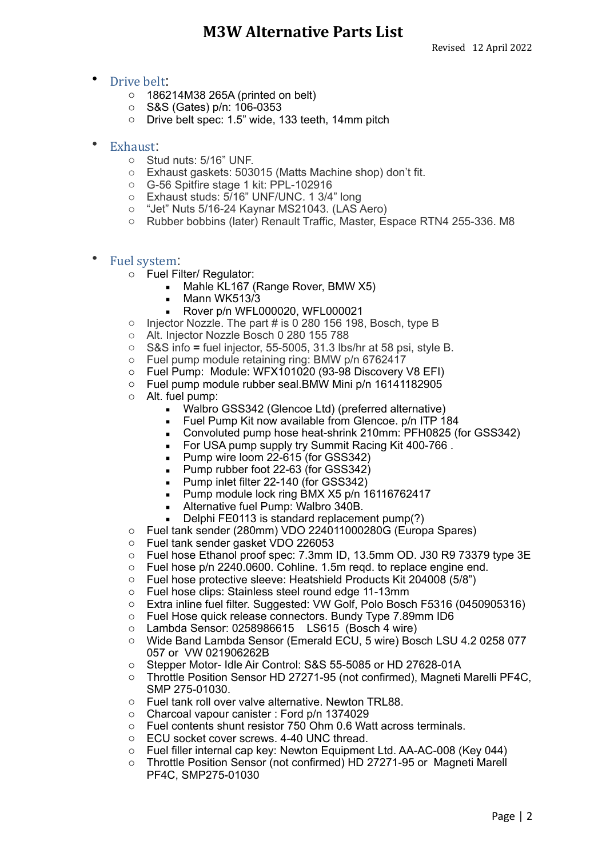### **• Drive belt.**

- o 186214M38 265A (printed on belt)
- o S&S (Gates) p/n: 106-0353
- o Drive belt spec: 1.5" wide, 133 teeth, 14mm pitch
- Exhaust:
	- o Stud nuts: 5/16" UNF.
	- o Exhaust gaskets: 503015 (Matts Machine shop) don't fit.
	- o G-56 Spitfire stage 1 kit: PPL-102916
	- o Exhaust studs: 5/16" UNF/UNC. 1 3/4" long
	- o "Jet" Nuts 5/16-24 Kaynar MS21043. (LAS Aero)
	- o Rubber bobbins (later) Renault Traffic, Master, Espace RTN4 255-336. M8
- Fuel system:
	- o Fuel Filter/ Regulator:
		- Mahle KL167 (Range Rover, BMW X5)
		- Mann WK513/3
		- Rover p/n WFL000020, WFL000021
	- o Injector Nozzle. The part # is 0 280 156 198, Bosch, type B
	- o Alt. Injector Nozzle Bosch 0 280 155 788
	- o S&S info **=** fuel injector, 55-5005, 31.3 lbs/hr at 58 psi, style B.
	- o Fuel pump module retaining ring: BMW p/n 6762417
	- o Fuel Pump: Module: WFX101020 (93-98 Discovery V8 EFI)
	- o Fuel pump module rubber seal.BMW Mini p/n 16141182905
	- o Alt. fuel pump:
		- Walbro GSS342 (Glencoe Ltd) (preferred alternative)
		- **EXECT** Fuel Pump Kit now available from Glencoe. p/n ITP 184
		- Convoluted pump hose heat-shrink 210mm: PFH0825 (for GSS342)
		- For USA pump supply try Summit Racing Kit 400-766.
		- Pump wire loom 22-615 (for GSS342)
		- Pump rubber foot 22-63 (for GSS342)
		- Pump inlet filter 22-140 (for GSS342)
		- **Pump module lock ring BMX X5 p/n 16116762417**
		- **EXECUTE:** Alternative fuel Pump: Walbro 340B.
		- $\blacksquare$  Delphi FE0113 is standard replacement pump(?)
	- o Fuel tank sender (280mm) VDO 224011000280G (Europa Spares)
	- o Fuel tank sender gasket VDO 226053
	- o Fuel hose Ethanol proof spec: 7.3mm ID, 13.5mm OD. J30 R9 73379 type 3E
	- o Fuel hose p/n 2240.0600. Cohline. 1.5m reqd. to replace engine end.
	- o Fuel hose protective sleeve: Heatshield Products Kit 204008 (5/8")
	- o Fuel hose clips: Stainless steel round edge 11-13mm
	- o Extra inline fuel filter. Suggested: VW Golf, Polo Bosch F5316 (0450905316)
	- o Fuel Hose quick release connectors. Bundy Type 7.89mm ID6
	- o Lambda Sensor: 0258986615 LS615 (Bosch 4 wire)
	- o Wide Band Lambda Sensor (Emerald ECU, 5 wire) Bosch LSU 4.2 0258 077 057 or VW 021906262B
	- o Stepper Motor- Idle Air Control: S&S 55-5085 or HD 27628-01A
	- o Throttle Position Sensor HD 27271-95 (not confirmed), Magneti Marelli PF4C, SMP 275-01030.
	- o Fuel tank roll over valve alternative. Newton TRL88.
	- o Charcoal vapour canister : Ford p/n 1374029
	- o Fuel contents shunt resistor 750 Ohm 0.6 Watt across terminals.
	- o ECU socket cover screws. 4-40 UNC thread.
	- o Fuel filler internal cap key: Newton Equipment Ltd. AA-AC-008 (Key 044)
	- o Throttle Position Sensor (not confirmed) HD 27271-95 or Magneti Marell PF4C, SMP275-01030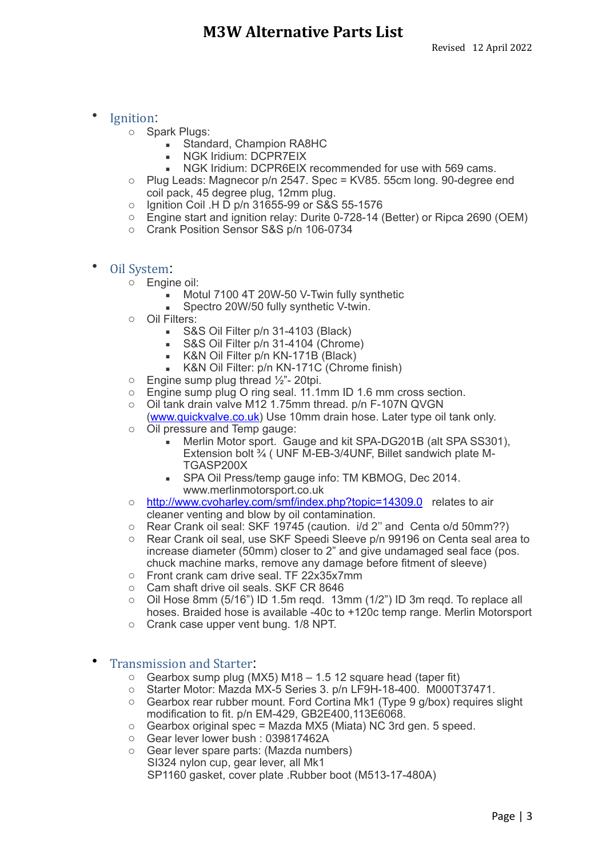#### • Ignition:

- o Spark Plugs:
	- **Example 1** Standard, Champion RA8HC
	- NGK Iridium: DCPR7EIX
	- NGK Iridium: DCPR6EIX recommended for use with 569 cams.
- o Plug Leads: Magnecor p/n 2547. Spec = KV85. 55cm long. 90-degree end coil pack, 45 degree plug, 12mm plug.
- o Ignition Coil .H D p/n 31655-99 or S&S 55-1576
- o Engine start and ignition relay: Durite 0-728-14 (Better) or Ripca 2690 (OEM)
- o Crank Position Sensor S&S p/n 106-0734
- Oil System:
	- o Engine oil:
		- **■** Motul 7100 4T 20W-50 V-Twin fully synthetic
		- **Spectro 20W/50 fully synthetic V-twin.**
	- o Oil Filters:
		- **S&S Oil Filter p/n 31-4103 (Black)**
		- S&S Oil Filter p/n 31-4104 (Chrome)
		- **EXEXELED** Filter p/n KN-171B (Black)
		- K&N Oil Filter: p/n KN-171C (Chrome finish)
	- $\circ$  Engine sump plug thread  $\frac{1}{2}$ "- 20tpi.
	- o Engine sump plug O ring seal. 11.1mm ID 1.6 mm cross section.
	- o Oil tank drain valve M12 1.75mm thread. p/n F-107N QVGN
	- (www.quickvalve.co.uk) Use 10mm drain hose. Later type oil tank only. o Oil pressure and Temp gauge:
		- Merlin Motor sport. Gauge and kit SPA-DG201B (alt SPA SS301). Extension bolt ¾ ( UNF M-EB-3/4UNF, Billet sandwich plate M-TGASP200X
		- **SPA Oil Press/temp gauge info: TM KBMOG, Dec 2014.** www.merlinmotorsport.co.uk
	- o <http://www.cvoharley.com/smf/index.php?topic=14309.0>relates to air cleaner venting and blow by oil contamination.
	- o Rear Crank oil seal: SKF 19745 (caution. i/d 2'' and Centa o/d 50mm??)
	- o Rear Crank oil seal, use SKF Speedi Sleeve p/n 99196 on Centa seal area to increase diameter (50mm) closer to 2" and give undamaged seal face (pos. chuck machine marks, remove any damage before fitment of sleeve)
	- o Front crank cam drive seal. TF 22x35x7mm
	- o Cam shaft drive oil seals. SKF CR 8646
	- o Oil Hose 8mm (5/16") ID 1.5m reqd. 13mm (1/2") ID 3m reqd. To replace all hoses. Braided hose is available -40c to +120c temp range. Merlin Motorsport
	- o Crank case upper vent bung. 1/8 NPT.

#### Transmission and Starter

- $\circ$  Gearbox sump plug (MX5) M18 1.5 12 square head (taper fit)
- o Starter Motor: Mazda MX-5 Series 3. p/n LF9H-18-400. M000T37471.
- o Gearbox rear rubber mount. Ford Cortina Mk1 (Type 9 g/box) requires slight modification to fit. p/n EM-429, GB2E400,113E6068.
- $\circ$  Gearbox original spec = Mazda MX5 (Miata) NC 3rd gen. 5 speed.
- o Gear lever lower bush : 039817462A
- o Gear lever spare parts: (Mazda numbers) SI324 nylon cup, gear lever, all Mk1 SP1160 gasket, cover plate .Rubber boot (M513-17-480A)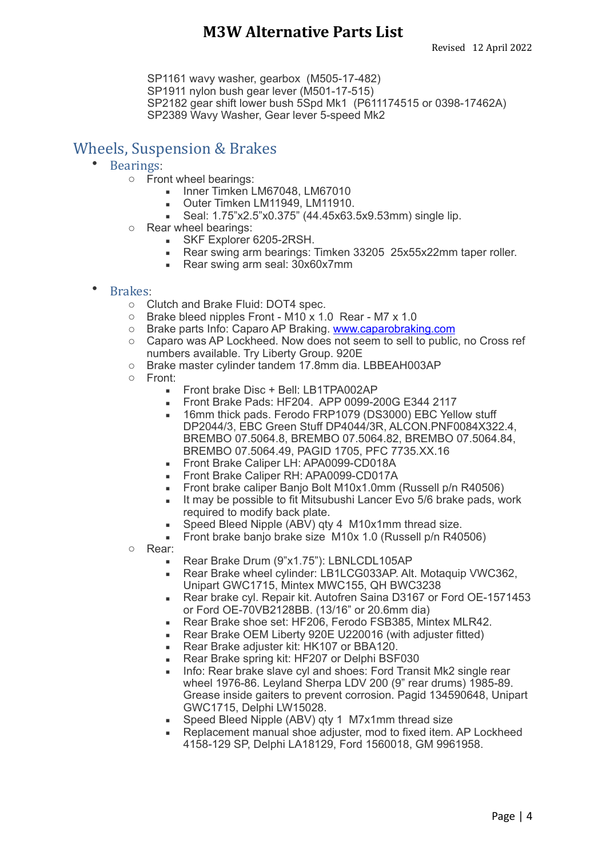SP1161 wavy washer, gearbox (M505-17-482) SP1911 nylon bush gear lever (M501-17-515) SP2182 gear shift lower bush 5Spd Mk1 (P611174515 or 0398-17462A) SP2389 Wavy Washer, Gear lever 5-speed Mk2

# Wheels, Suspension & Brakes

- Bearings:
	- o Front wheel bearings:
		- **Inner Timken LM67048, LM67010**
		- **Outer Timken LM11949, LM11910.**
		- Seal: 1.75"x2.5"x0.375" (44.45x63.5x9.53mm) single lip.
	- o Rear wheel bearings:
		- **BEARE:** SKF Explorer 6205-2RSH.
		- Rear swing arm bearings: Timken 33205 25x55x22mm taper roller.
		- Rear swing arm seal: 30x60x7mm

### • Brakes:

- o Clutch and Brake Fluid: DOT4 spec.
- o Brake bleed nipples Front M10 x 1.0 Rear M7 x 1.0
- o Brake parts Info: Caparo AP Braking. [www.caparobraking.com](http://www.caprobraking.com)
- o Caparo was AP Lockheed. Now does not seem to sell to public, no Cross ref numbers available. Try Liberty Group. 920E
- o Brake master cylinder tandem 17.8mm dia. LBBEAH003AP
- o Front:
	- **EXECUTE: Front brake Disc + Bell: LB1TPA002AP**
	- **EXECUTE: Front Brake Pads: HF204. APP 0099-200G E344 2117**
	- **.** 16mm thick pads. Ferodo FRP1079 (DS3000) EBC Yellow stuff DP2044/3, EBC Green Stuff DP4044/3R, ALCON.PNF0084X322.4, BREMBO 07.5064.8, BREMBO 07.5064.82, BREMBO 07.5064.84, BREMBO 07.5064.49, PAGID 1705, PFC 7735.XX.16
	- **EXECUTE: APA0099-CD018A**
	- **EXECUTE: Front Brake Caliper RH: APA0099-CD017A**
	- **EXECT:** Front brake caliper Banjo Bolt M10x1.0mm (Russell p/n R40506)
	- **.** It may be possible to fit Mitsubushi Lancer Evo 5/6 brake pads, work required to modify back plate.
	- **Speed Bleed Nipple (ABV) qty 4 M10x1mm thread size.**
	- Front brake banjo brake size M10x 1.0 (Russell p/n R40506)
- o Rear:
	- Rear Brake Drum (9"x1.75"): LBNLCDL105AP
	- Rear Brake wheel cylinder: LB1LCG033AP. Alt. Motaquip VWC362, Unipart GWC1715, Mintex MWC155, QH BWC3238
	- Rear brake cyl. Repair kit. Autofren Saina D3167 or Ford OE-1571453 or Ford OE-70VB2128BB. (13/16" or 20.6mm dia)
	- Rear Brake shoe set: HF206, Ferodo FSB385, Mintex MLR42.
	- Rear Brake OEM Liberty 920E U220016 (with adjuster fitted)
	- Rear Brake adjuster kit: HK107 or BBA120.
	- Rear Brake spring kit: HF207 or Delphi BSF030
	- Info: Rear brake slave cyl and shoes: Ford Transit Mk2 single rear wheel 1976-86. Leyland Sherpa LDV 200 (9" rear drums) 1985-89. Grease inside gaiters to prevent corrosion. Pagid 134590648, Unipart GWC1715, Delphi LW15028.
	- Speed Bleed Nipple (ABV) gty 1 M7x1mm thread size
	- **EXECTED** Replacement manual shoe adjuster, mod to fixed item. AP Lockheed 4158-129 SP, Delphi LA18129, Ford 1560018, GM 9961958.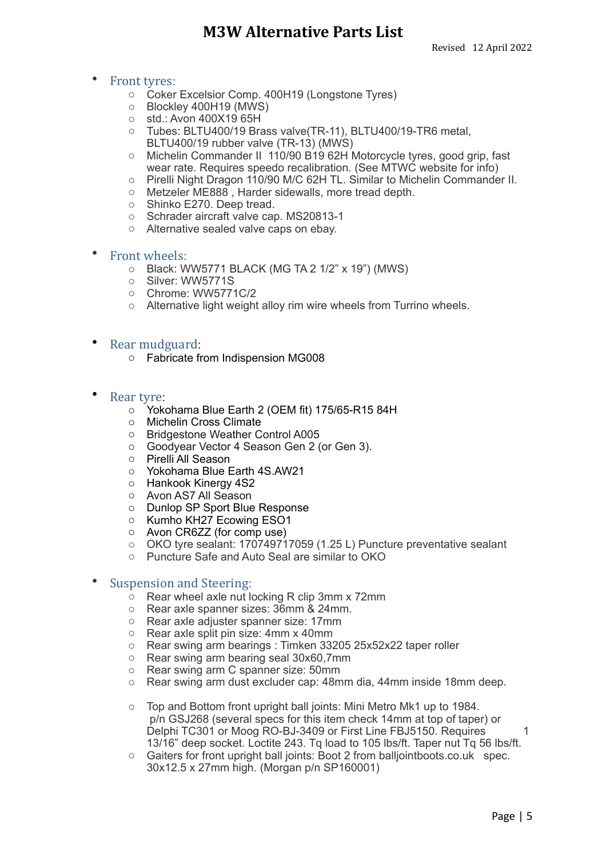#### • Front tyres:

- o Coker Excelsior Comp. 400H19 (Longstone Tyres)
- o Blockley 400H19 (MWS)
- $\circ$  std.: Avon 400X19 65H
- o Tubes: BLTU400/19 Brass valve(TR-11), BLTU400/19-TR6 metal, BLTU400/19 rubber valve (TR-13) (MWS)
- o Michelin Commander II 110/90 B19 62H Motorcycle tyres, good grip, fast wear rate. Requires speedo recalibration. (See MTWC website for info)
- o Pirelli Night Dragon 110/90 M/C 62H TL. Similar to Michelin Commander II.
- o Metzeler ME888 , Harder sidewalls, more tread depth.
- o Shinko E270. Deep tread.
- o Schrader aircraft valve cap. MS20813-1
- o Alternative sealed valve caps on ebay.

#### • Front wheels:

- o Black: WW5771 BLACK (MG TA 2 1/2" x 19") (MWS)
- o Silver: WW5771S
- o Chrome: WW5771C/2
- o Alternative light weight alloy rim wire wheels from Turrino wheels.

#### Rear mudguard:

- o Fabricate from Indispension MG008
- Rear tyre:
	- o Yokohama Blue Earth 2 (OEM fit) 175/65-R15 84H
	- o Michelin Cross Climate
	- o Bridgestone Weather Control A005
	- o Goodyear Vector 4 Season Gen 2 (or Gen 3).
	- o Pirelli All Season
	- o Yokohama Blue Earth 4S.AW21
	- o Hankook Kinergy 4S2
	- o Avon AS7 All Season
	- o Dunlop SP Sport Blue Response
	- o Kumho KH27 Ecowing ESO1
	- o Avon CR6ZZ (for comp use)
	- o OKO tyre sealant: 170749717059 (1.25 L) Puncture preventative sealant
	- o Puncture Safe and Auto Seal are similar to OKO

#### Suspension and Steering:

- $\circ$  Rear wheel axle nut locking R clip 3mm x 72mm
- o Rear axle spanner sizes: 36mm & 24mm.
- o Rear axle adjuster spanner size: 17mm
- o Rear axle split pin size: 4mm x 40mm
- o Rear swing arm bearings : Timken 33205 25x52x22 taper roller
- o Rear swing arm bearing seal 30x60,7mm
- o Rear swing arm C spanner size: 50mm
- o Rear swing arm dust excluder cap: 48mm dia, 44mm inside 18mm deep.
- o Top and Bottom front upright ball joints: Mini Metro Mk1 up to 1984. p/n GSJ268 (several specs for this item check 14mm at top of taper) or Delphi TC301 or Moog RO-BJ-3409 or First Line FBJ5150. Requires 1 13/16" deep socket. Loctite 243. Tq load to 105 lbs/ft. Taper nut Tq 56 lbs/ft.
- o Gaiters for front upright ball joints: Boot 2 from balljointboots.co.uk spec. 30x12.5 x 27mm high. (Morgan p/n SP160001)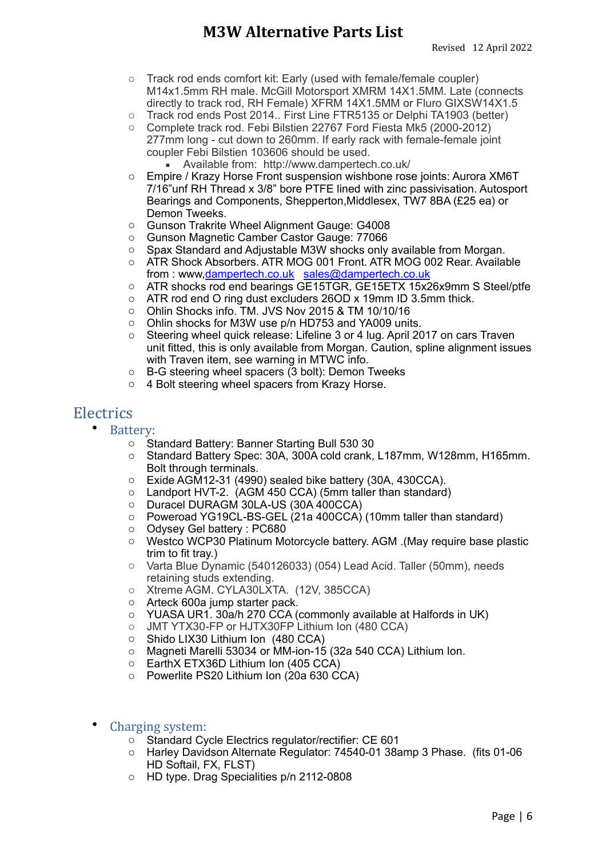- o Track rod ends comfort kit: Early (used with female/female coupler) M14x1.5mm RH male. McGill Motorsport XMRM 14X1.5MM. Late (connects directly to track rod, RH Female) XFRM 14X1.5MM or Fluro GIXSW14X1.5
- o Track rod ends Post 2014.. First Line FTR5135 or Delphi TA1903 (better)
- o Complete track rod. Febi Bilstien 22767 Ford Fiesta Mk5 (2000-2012) 277mm long - cut down to 260mm. If early rack with female-female joint coupler Febi Bilstien 103606 should be used.
	- Available from: http://www.dampertech.co.uk/
- o Empire / Krazy Horse Front suspension wishbone rose joints: Aurora XM6T 7/16"unf RH Thread x 3/8" bore PTFE lined with zinc passivisation. Autosport Bearings and Components, Shepperton,Middlesex, TW7 8BA (£25 ea) or Demon Tweeks.
- o Gunson Trakrite Wheel Alignment Gauge: G4008
- o Gunson Magnetic Camber Castor Gauge: 77066
- o Spax Standard and Adjustable M3W shocks only available from Morgan.
- o ATR Shock Absorbers. ATR MOG 001 Front. ATR MOG 002 Rear. Available from : www[,dampertech.co.uk](http://dampertech.co.uk) [sales@dampertech.co.uk](mailto:sales@dampertech.co.uk)
- o ATR shocks rod end bearings GE15TGR, GE15ETX 15x26x9mm S Steel/ptfe
- o ATR rod end O ring dust excluders 26OD x 19mm ID 3.5mm thick.
- o Ohlin Shocks info. TM. JVS Nov 2015 & TM 10/10/16
- o Ohlin shocks for M3W use p/n HD753 and YA009 units.
- o Steering wheel quick release: Lifeline 3 or 4 lug. April 2017 on cars Traven unit fitted, this is only available from Morgan. Caution, spline alignment issues with Traven item, see warning in MTWC info.
- o B-G steering wheel spacers (3 bolt): Demon Tweeks
- o 4 Bolt steering wheel spacers from Krazy Horse.

### **Electrics**

- Battery:
	- o Standard Battery: Banner Starting Bull 530 30
	- o Standard Battery Spec: 30A, 300A cold crank, L187mm, W128mm, H165mm. Bolt through terminals.
	- o Exide AGM12-31 (4990) sealed bike battery (30A, 430CCA).
	- o Landport HVT-2. (AGM 450 CCA) (5mm taller than standard)
	- o Duracel DURAGM 30LA-US (30A 400CCA)
	- o Poweroad YG19CL-BS-GEL (21a 400CCA) (10mm taller than standard)
	- o Odysey Gel battery : PC680
	- o Westco WCP30 Platinum Motorcycle battery. AGM .(May require base plastic trim to fit tray.)
	- o Varta Blue Dynamic (540126033) (054) Lead Acid. Taller (50mm), needs retaining studs extending.
	- o Xtreme AGM. CYLA30LXTA. (12V, 385CCA)
	- o Arteck 600a jump starter pack.
	- o YUASA UR1. 30a/h 270 CCA (commonly available at Halfords in UK)
	- o JMT YTX30-FP or HJTX30FP Lithium Ion (480 CCA)
	- o Shido LIX30 Lithium Ion (480 CCA)
	- o Magneti Marelli 53034 or MM-ion-15 (32a 540 CCA) Lithium Ion.
	- o EarthX ETX36D Lithium Ion (405 CCA)
	- o Powerlite PS20 Lithium Ion (20a 630 CCA)
- Charging system:
	- o Standard Cycle Electrics regulator/rectifier: CE 601
	- o Harley Davidson Alternate Regulator: 74540-01 38amp 3 Phase. (fits 01-06 HD Softail, FX, FLST)
	- o HD type. Drag Specialities p/n 2112-0808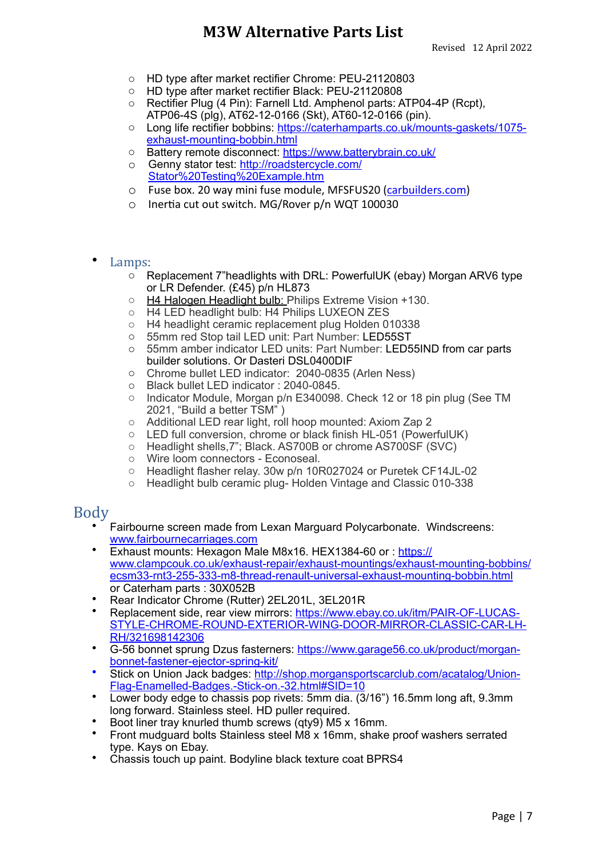- o HD type after market rectifier Chrome: PEU-21120803
- o HD type after market rectifier Black: PEU-21120808
- o Rectifier Plug (4 Pin): Farnell Ltd. Amphenol parts: ATP04-4P (Rcpt), ATP06-4S (plg), AT62-12-0166 (Skt), AT60-12-0166 (pin).
- o [Long life rectifier bobbins: https://caterhamparts.co.uk/mounts-gaskets/1075](https://caterhamparts.co.uk/mounts-gaskets/1075-exhaust-mounting-bobbin.html) [exhaust-mounting-bobbin.html](https://caterhamparts.co.uk/mounts-gaskets/1075-exhaust-mounting-bobbin.html)
- o Battery remote disconnect: <https://www.batterybrain.co.uk/>
- o Genny stator test: [http://roadstercycle.com/](http://roadstercycle.com/Stator%2520Testing%2520Example.htm) [Stator%20Testing%20Example.htm](http://roadstercycle.com/Stator%2520Testing%2520Example.htm)
- $\circ$  Fuse box. 20 way mini fuse module, MFSFUS20 ([carbuilders.com\)](http://carbuilders.com)
- $\circ$  Inertia cut out switch. MG/Rover  $p/n$  WQT 100030
- Lamps:
	- $\circ$  Replacement 7"headlights with DRL: PowerfulUK (ebay) Morgan ARV6 type or LR Defender. (£45) p/n HL873
	- o H4 Halogen Headlight bulb: Philips Extreme Vision +130.
	- o H4 LED headlight bulb: H4 Philips LUXEON ZES
	- o H4 headlight ceramic replacement plug Holden 010338
	- o 55mm red Stop tail LED unit: Part Number: LED55ST
	- o 55mm amber indicator LED units: Part Number: LED55IND from car parts builder solutions. Or Dasteri DSL0400DIF
	- o Chrome bullet LED indicator: 2040-0835 (Arlen Ness)
	- Black bullet LED indicator : 2040-0845.
	- o Indicator Module, Morgan p/n E340098. Check 12 or 18 pin plug (See TM 2021, "Build a better TSM" )
	- o Additional LED rear light, roll hoop mounted: Axiom Zap 2
	- o LED full conversion, chrome or black finish HL-051 (PowerfulUK)
	- o Headlight shells,7"; Black. AS700B or chrome AS700SF (SVC)
	- o Wire loom connectors Econoseal.
	- o Headlight flasher relay. 30w p/n 10R027024 or Puretek CF14JL-02
	- o Headlight bulb ceramic plug- Holden Vintage and Classic 010-338

### Body

- Fairbourne screen made from Lexan Marguard Polycarbonate. Windscreens: www.fairbournecarriages.com
- Exhaust mounts: Hexagon Male M8x16. HEX1384-60 or : [https://](https://www.clampcouk.co.uk/exhaust-repair/exhaust-mountings/exhaust-mounting-bobbins/ecsm33-rnt3-255-333-m8-thread-renault-universal-exhaust-mounting-bobbin.html) [www.clampcouk.co.uk/exhaust-repair/exhaust-mountings/exhaust-mounting-bobbins/](https://www.clampcouk.co.uk/exhaust-repair/exhaust-mountings/exhaust-mounting-bobbins/ecsm33-rnt3-255-333-m8-thread-renault-universal-exhaust-mounting-bobbin.html) [ecsm33-rnt3-255-333-m8-thread-renault-universal-exhaust-mounting-bobbin.html](https://www.clampcouk.co.uk/exhaust-repair/exhaust-mountings/exhaust-mounting-bobbins/ecsm33-rnt3-255-333-m8-thread-renault-universal-exhaust-mounting-bobbin.html) or Caterham parts : 30X052B
- Rear Indicator Chrome (Rutter) 2EL201L, 3EL201R
- Replacement side, rear view mirrors: [https://www.ebay.co.uk/itm/PAIR-OF-LUCAS-](https://www.ebay.co.uk/itm/PAIR-OF-LUCAS-STYLE-CHROME-ROUND-EXTERIOR-WING-DOOR-MIRROR-CLASSIC-CAR-LH-RH/321698142306)[STYLE-CHROME-ROUND-EXTERIOR-WING-DOOR-MIRROR-CLASSIC-CAR-LH-](https://www.ebay.co.uk/itm/PAIR-OF-LUCAS-STYLE-CHROME-ROUND-EXTERIOR-WING-DOOR-MIRROR-CLASSIC-CAR-LH-RH/321698142306)[RH/321698142306](https://www.ebay.co.uk/itm/PAIR-OF-LUCAS-STYLE-CHROME-ROUND-EXTERIOR-WING-DOOR-MIRROR-CLASSIC-CAR-LH-RH/321698142306)
- G-56 bonnet sprung Dzus fasterners: [https://www.garage56.co.uk/product/morgan](https://www.garage56.co.uk/product/morgan-bonnet-fastener-ejector-spring-kit/)[bonnet-fastener-ejector-spring-kit/](https://www.garage56.co.uk/product/morgan-bonnet-fastener-ejector-spring-kit/)
- Stick on Union Jack badges: [http://shop.morgansportscarclub.com/acatalog/Union-](http://shop.morgansportscarclub.com/acatalog/Union-Flag-Enamelled-Badges.-Stick-on.-32.html#SID=10)[Flag-Enamelled-Badges.-Stick-on.-32.html#SID=10](http://shop.morgansportscarclub.com/acatalog/Union-Flag-Enamelled-Badges.-Stick-on.-32.html#SID=10)
- Lower body edge to chassis pop rivets: 5mm dia. (3/16") 16.5mm long aft, 9.3mm long forward. Stainless steel. HD puller required.
- Boot liner tray knurled thumb screws (qty9) M5 x 16mm.
- Front mudguard bolts Stainless steel M8 x 16mm, shake proof washers serrated type. Kays on Ebay.
- Chassis touch up paint. Bodyline black texture coat BPRS4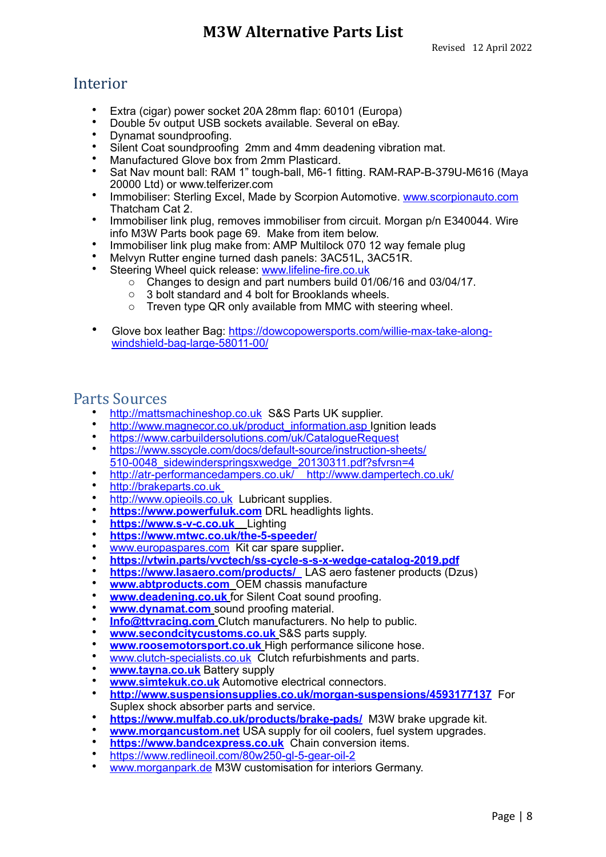### Interior

- Extra (cigar) power socket 20A 28mm flap: 60101 (Europa)
- Double 5v output USB sockets available. Several on eBay.
- Dynamat soundproofing.
- Silent Coat soundproofing 2mm and 4mm deadening vibration mat.
- Manufactured Glove box from 2mm Plasticard.
- Sat Nav mount ball: RAM 1" tough-ball, M6-1 fitting. RAM-RAP-B-379U-M616 (Maya 20000 Ltd) or www.telferizer.com
- Immobiliser: Sterling Excel, Made by Scorpion Automotive. [www.scorpionauto.com](http://www.scorpionauto.com) Thatcham Cat 2.
- Immobiliser link plug, removes immobiliser from circuit. Morgan p/n E340044. Wire info M3W Parts book page 69. Make from item below.
- Immobiliser link plug make from: AMP Multilock 070 12 way female plug
- Melvyn Rutter engine turned dash panels: 3AC51L, 3AC51R.
- Steering Wheel quick release: [www.lifeline-fire.co.uk](http://www.lifeline-fire.co.uk)
	- o Changes to design and part numbers build 01/06/16 and 03/04/17.
		- o 3 bolt standard and 4 bolt for Brooklands wheels.
		- o Treven type QR only available from MMC with steering wheel.
- [Glove box leather Bag: https://dowcopowersports.com/willie-max-take-along](https://dowcopowersports.com/willie-max-take-along-windshield-bag-large-58011-00/)[windshield-bag-large-58011-00/](https://dowcopowersports.com/willie-max-take-along-windshield-bag-large-58011-00/)

### **Parts Sources**

- <http://mattsmachineshop.co.uk> S&S Parts UK supplier.
- [http://www.magnecor.co.uk/product\\_information.asp](http://www.magnecor.co.uk/product_information.asp) Ignition leads
- <https://www.carbuildersolutions.com/uk/CatalogueRequest>
- [https://www.sscycle.com/docs/default-source/instruction-sheets/](https://www.sscycle.com/docs/default-source/instruction-sheets/510-0048_sidewinderspringsxwedge_20130311.pdf?sfvrsn=4) [510-0048\\_sidewinderspringsxwedge\\_20130311.pdf?sfvrsn=4](https://www.sscycle.com/docs/default-source/instruction-sheets/510-0048_sidewinderspringsxwedge_20130311.pdf?sfvrsn=4)
- [http://atr-performancedampers.co.uk/ http://www.dampertech.co.uk/](http://atr-performancedampers.co.uk/%2520%2520%2520%2520http:/www.dampertech.co.uk/)
- <http://brakeparts.co.uk>
- <http://www.opieoils.co.uk> Lubricant supplies.
- **<https://www.powerfuluk.com>** DRL headlights lights.
- **<https://www.s-v-c.co.uk>** Lighting
- **<https://www.mtwc.co.uk/the-5-speeder/>**
- [www.europaspares.com](http://www.europaspares.com)Kit car spare supplier**.**
- **<https://vtwin.parts/vvctech/ss-cycle-s-s-x-wedge-catalog-2019.pdf>**
- **<https://www.lasaero.com/products/>** LAS aero fastener products (Dzus)
- **[www.abtproducts.com](http://www.abtproducts.com)** OEM chassis manufacture
- **[www.deadening.co.uk](http://www.deadening.co.uk)** for Silent Coat sound proofing.
- **[www.dynamat.com](http://www.dynamat.com)**\_sound proofing material.
- **[Info@ttvracing.com](mailto:Info@ttvracing.com)** Clutch manufacturers. No help to public.
- **[www.secondcitycustoms.co.uk](http://www.secondcitycustoms.co.uk)** S&S parts supply.
- **[www.roosemotorsport.co.uk](http://www.roosemotorsport.co.uk)** High performance silicone hose.
- [www.clutch-specialists.co.uk](http://www.clutch-specialists.co.uk) Clutch refurbishments and parts.
- **[www.tayna.co.uk](http://www.tanya.co.uk)** Battery supply
- **[www.simtekuk.co.uk](http://www.simetekuk.co.uk)** Automotive electrical connectors.
- **<http://www.suspensionsupplies.co.uk/morgan-suspensions/4593177137>**For Suplex shock absorber parts and service.
- **<https://www.mulfab.co.uk/products/brake-pads/>** M3W brake upgrade kit.
- **[www.morgancustom.net](http://www.morgancustom.net)** USA supply for oil coolers, fuel system upgrades.
- **https://www.bandcexpress.co.uk** Chain conversion items.
- <https://www.redlineoil.com/80w250-gl-5-gear-oil-2>
- [www.morganpark.de](http://www.morganpark.de) M3W customisation for interiors Germany.